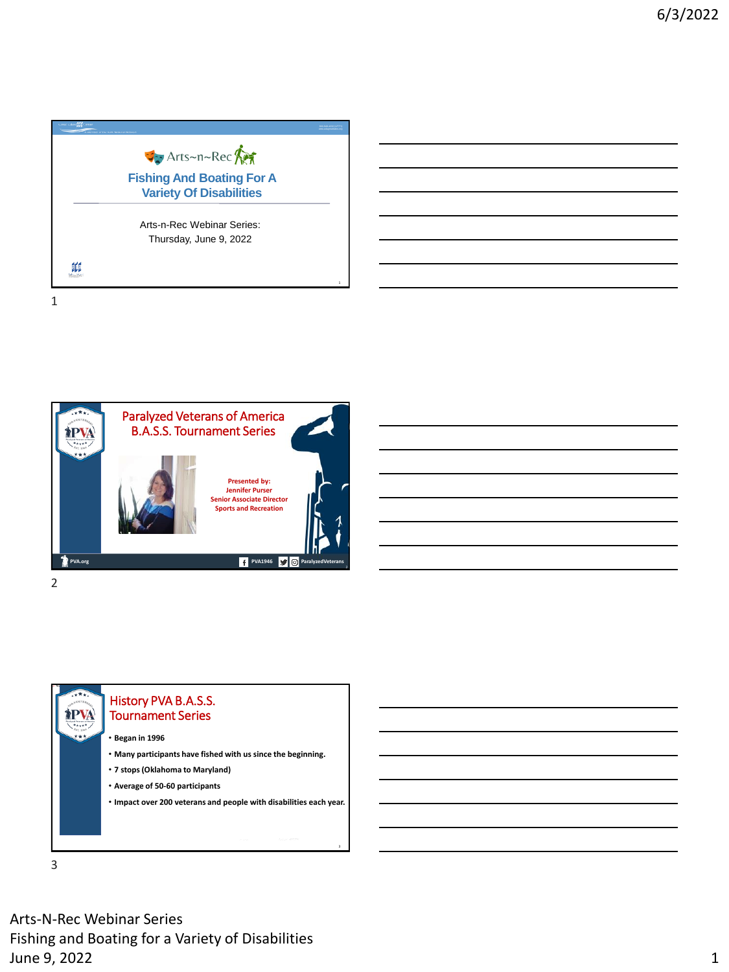

Paralyzed Veterans of America **TPVA** B.A.S.S. Tournament Series **Presented by: Jennifer Purser Senior Associate Director Sports and Recreation PVA.org PVA.org PVA.org PVA1946 PVA1946 PVA1946 PVA1946 PVA1946 P** 2



3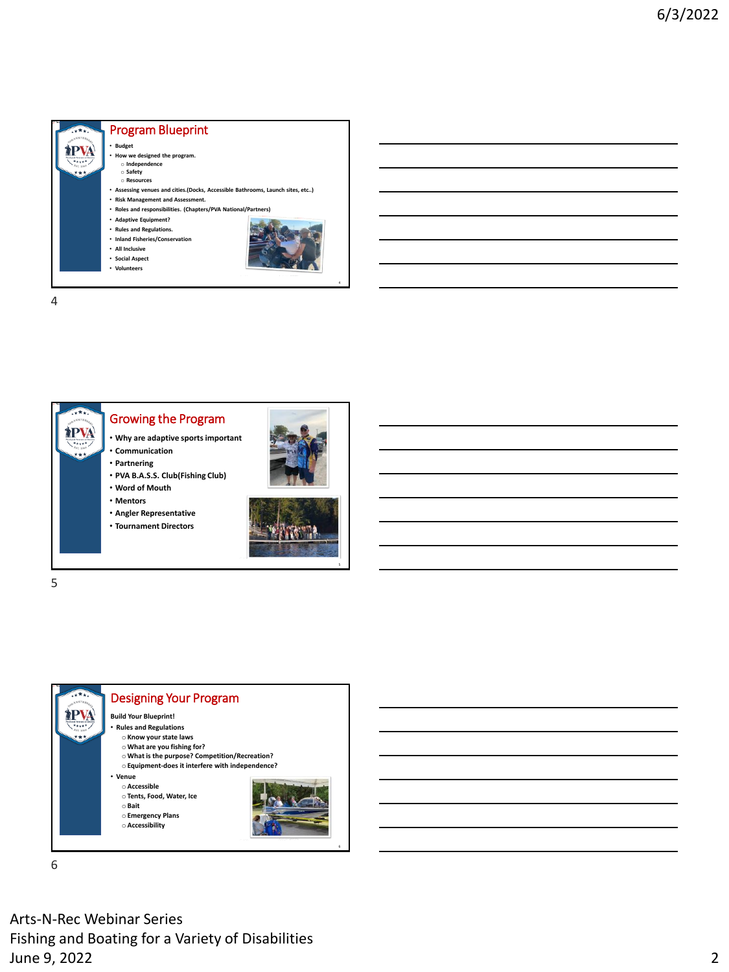





6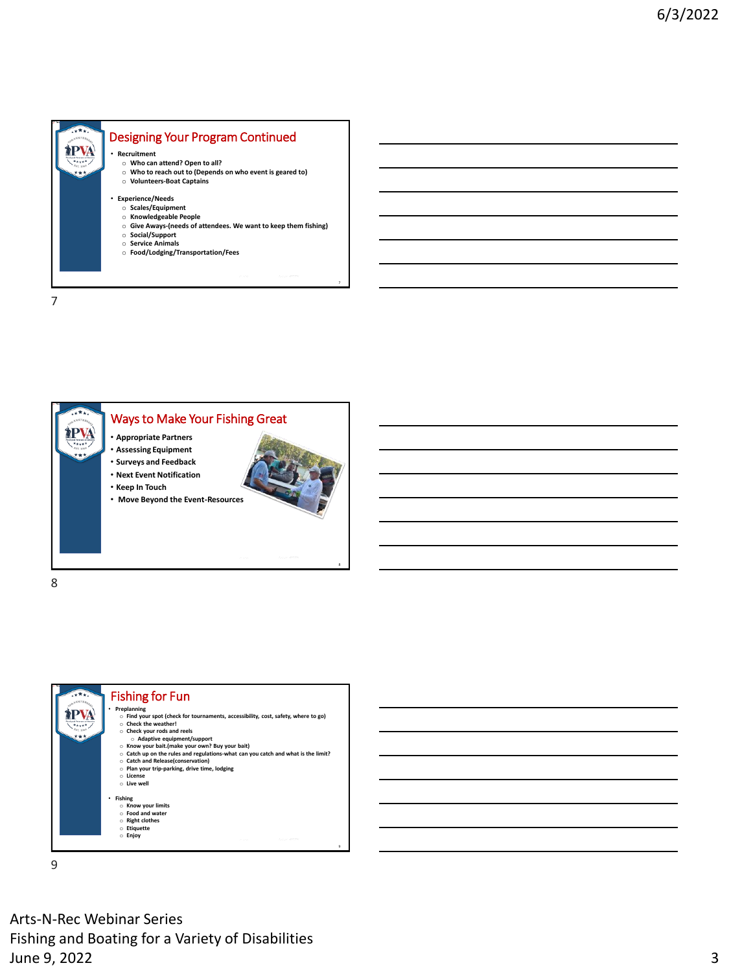







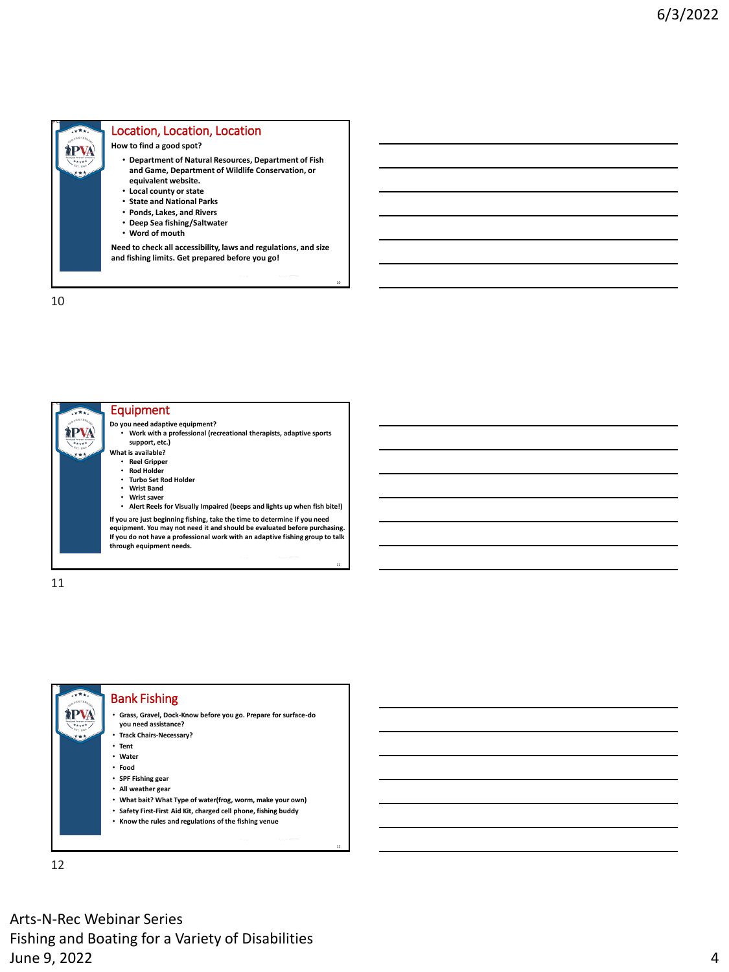

10





12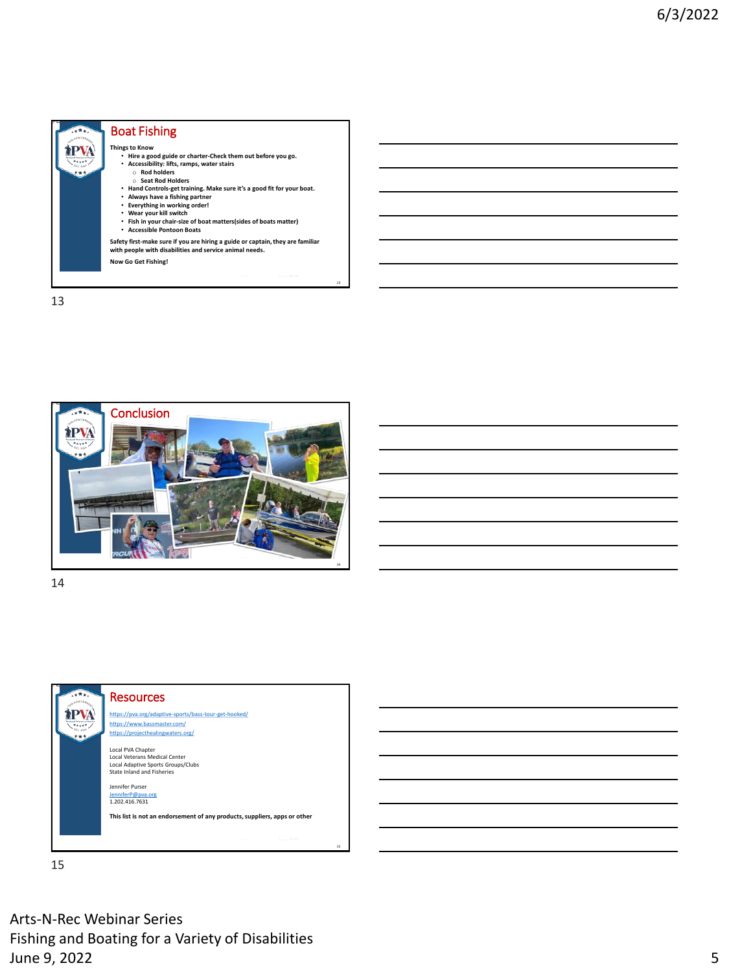







15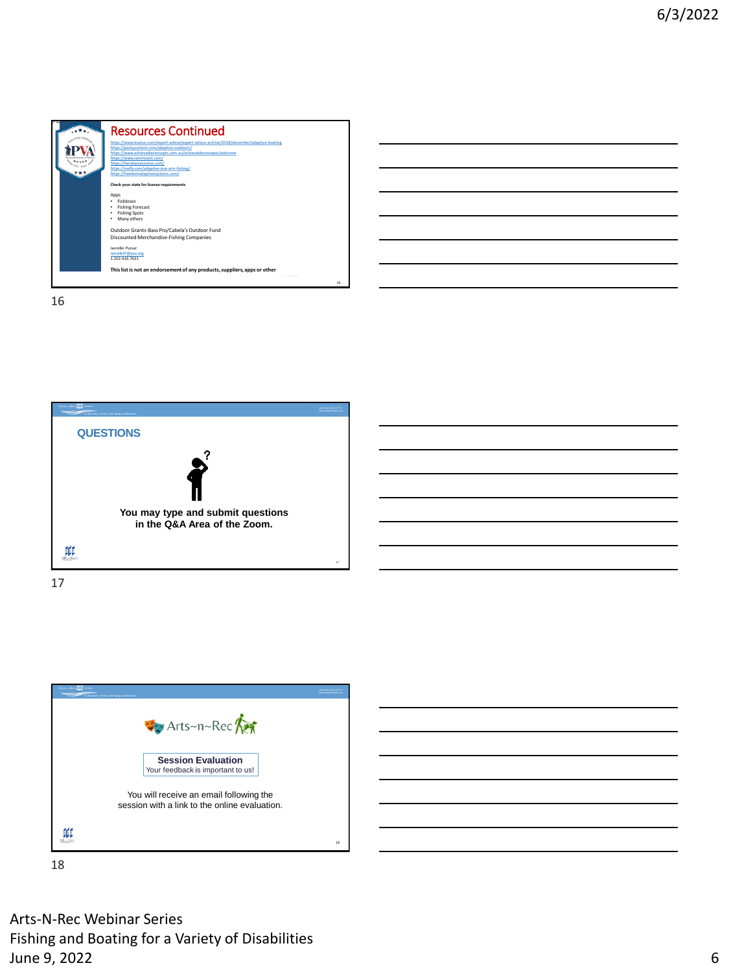





18